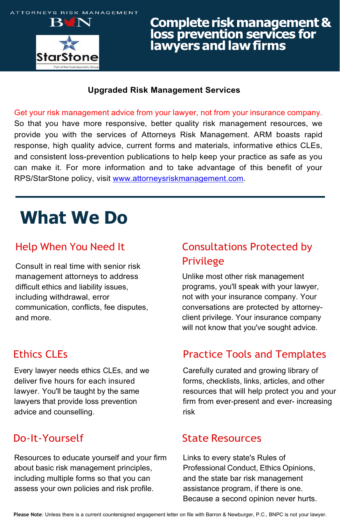

# **Complete risk management &<br>loss prevention services for<br>lawyers and law firms**

#### **Upgraded Risk Management Services**

Get your risk management advice from your lawyer, not from your insurance company. So that you have more responsive, better quality risk management resources, we provide you with the services of Attorneys Risk Management. ARM boasts rapid response, high quality advice, current forms and materials, informative ethics CLEs, and consistent loss-prevention publications to help keep your practice as safe as you can make it. For more information and to take advantage of this benefit of your RPS/StarStone policy, visit [www.attorneysriskmanagement.com.](http://www.attorneysriskmanagement.com/)

## **What We Do**

Consult in real time with senior risk management attorneys to address difficult ethics and liability issues, including withdrawal, error communication, conflicts, fee disputes, and more.

Every lawyer needs ethics CLEs, and we deliver five hours for each insured lawyer. You'll be taught by the same lawyers that provide loss prevention advice and counselling.

Resources to educate yourself and your firm about basic risk management principles, including multiple forms so that you can assess your own policies and risk profile.

### Help When You Need It Consultations Protected by Privilege

Unlike most other risk management programs, you'll speak with your lawyer, not with your insurance company. Your conversations are protected by attorneyclient privilege. Your insurance company will not know that you've sought advice.

#### **Ethics CLEs Ethics CLES Practice Tools and Templates**

Carefully curated and growing library of forms, checklists, links, articles, and other resources that will help protect you and your firm from ever-present and ever- increasing risk

#### Do-It-Yourself State Resources

Links to every state's Rules of Professional Conduct, Ethics Opinions, and the state bar risk management assistance program, if there is one. Because a second opinion never hurts.